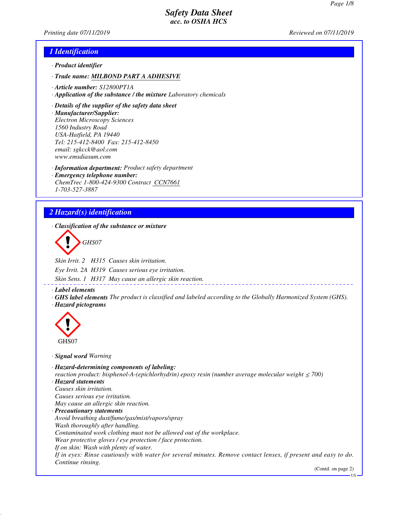*Printing date 07/11/2019 Reviewed on 07/11/2019*

## *1 Identification*

- *· Product identifier*
- *· Trade name: MILBOND PART A ADHESIVE*
- *· Article number: S12800PT1A*
- *· Application of the substance / the mixture Laboratory chemicals*
- *· Details of the supplier of the safety data sheet*
- *· Manufacturer/Supplier: Electron Microscopy Sciences 1560 Industry Road USA-Hatfield, PA 19440 Tel: 215-412-8400 Fax: 215-412-8450 email: sgkcck@aol.com www.emsdiasum.com*
- *· Information department: Product safety department*
- *· Emergency telephone number: ChemTrec 1-800-424-9300 Contract CCN7661 1-703-527-3887*

# *2 Hazard(s) identification*

*· Classification of the substance or mixture*

*GHS07*

*Skin Irrit. 2 H315 Causes skin irritation.*

*Eye Irrit. 2A H319 Causes serious eye irritation.*

*Skin Sens. 1 H317 May cause an allergic skin reaction.*

- *· Label elements*
- *· GHS label elements The product is classified and labeled according to the Globally Harmonized System (GHS). · Hazard pictograms*



*· Signal word Warning*

*· Hazard-determining components of labeling: reaction product: bisphenol-A-(epichlorhydrin) epoxy resin (number average molecular weight ≤ 700) · Hazard statements Causes skin irritation. Causes serious eye irritation. May cause an allergic skin reaction. · Precautionary statements Avoid breathing dust/fume/gas/mist/vapors/spray Wash thoroughly after handling. Contaminated work clothing must not be allowed out of the workplace. Wear protective gloves / eye protection / face protection. If on skin: Wash with plenty of water. If in eyes: Rinse cautiously with water for several minutes. Remove contact lenses, if present and easy to do. Continue rinsing.*

(Contd. on page 2)

US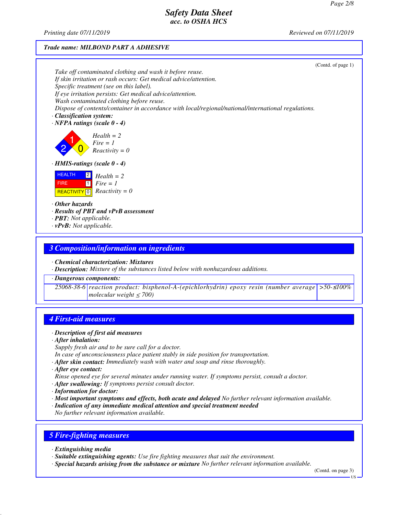*Printing date 07/11/2019 Reviewed on 07/11/2019*

### *Trade name: MILBOND PART A ADHESIVE*

|                                                                                                     | (Contd. of page 1) |
|-----------------------------------------------------------------------------------------------------|--------------------|
| Take off contaminated clothing and wash it before reuse.                                            |                    |
| If skin irritation or rash occurs: Get medical advice/attention.                                    |                    |
| Specific treatment (see on this label).                                                             |                    |
| If eye irritation persists: Get medical advice/attention.                                           |                    |
| Wash contaminated clothing before reuse.                                                            |                    |
| Dispose of contents/container in accordance with local/regional/national/international regulations. |                    |
| $\cdot$ Classification system:                                                                      |                    |
| $\cdot$ NFPA ratings (scale 0 - 4)                                                                  |                    |
| $Health = 2$                                                                                        |                    |
| Fire = 1<br>Reactivity = 0                                                                          |                    |
|                                                                                                     |                    |
| $\cdot$ HMIS-ratings (scale 0 - 4)                                                                  |                    |
| <b>HEALTH</b><br>$\boxed{2}$<br>$Health = 2$                                                        |                    |
| $\Box$<br>$Fire = 1$<br><b>FIRE</b>                                                                 |                    |
| <b>REACTIVITY</b> $\boxed{0}$ <i>Reactivity</i> = 0                                                 |                    |
| $\cdot$ Other hazards                                                                               |                    |
| · Results of PBT and vPvB assessment                                                                |                    |
| $\cdot$ <b>PBT:</b> Not applicable.                                                                 |                    |
| $\cdot$ vPvB: Not applicable.                                                                       |                    |
|                                                                                                     |                    |

### *3 Composition/information on ingredients*

*· Chemical characterization: Mixtures*

*· Description: Mixture of the substances listed below with nonhazardous additions.*

### *· Dangerous components:*

*25068-38-6 reaction product: bisphenol-A-(epichlorhydrin) epoxy resin (number average >50-*≤*100% molecular weight* ≤ *700)*

# *4 First-aid measures*

### *· Description of first aid measures*

*· After inhalation:*

*Supply fresh air and to be sure call for a doctor.*

- *In case of unconsciousness place patient stably in side position for transportation.*
- *· After skin contact: Immediately wash with water and soap and rinse thoroughly.*
- *· After eye contact:*
- *Rinse opened eye for several minutes under running water. If symptoms persist, consult a doctor.*
- *· After swallowing: If symptoms persist consult doctor.*
- *· Information for doctor:*
- *· Most important symptoms and effects, both acute and delayed No further relevant information available.*
- *· Indication of any immediate medical attention and special treatment needed*
- *No further relevant information available.*

# *5 Fire-fighting measures*

- *· Extinguishing media*
- *· Suitable extinguishing agents: Use fire fighting measures that suit the environment.*
- *· Special hazards arising from the substance or mixture No further relevant information available.*

(Contd. on page 3)

US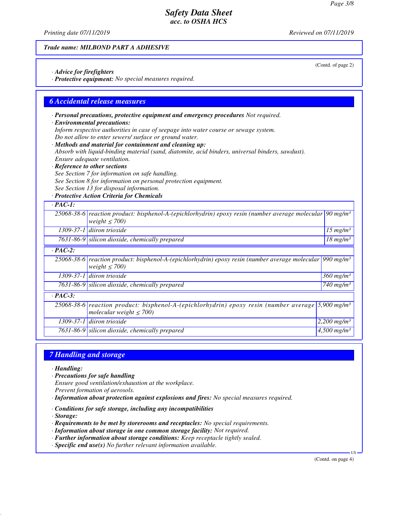(Contd. of page 2)

## *Safety Data Sheet acc. to OSHA HCS*

*Printing date 07/11/2019 Reviewed on 07/11/2019*

### *Trade name: MILBOND PART A ADHESIVE*

*· Advice for firefighters*

*· Protective equipment: No special measures required.*

### *6 Accidental release measures*

*· Personal precautions, protective equipment and emergency procedures Not required.*

#### *· Environmental precautions:*

*Inform respective authorities in case of seepage into water course or sewage system. Do not allow to enter sewers/ surface or ground water.*

*· Methods and material for containment and cleaning up: Absorb with liquid-binding material (sand, diatomite, acid binders, universal binders, sawdust). Ensure adequate ventilation.*

*· Reference to other sections*

*See Section 7 for information on safe handling.*

*See Section 8 for information on personal protection equipment.*

*See Section 13 for disposal information.*

*· Protective Action Criteria for Chemicals*

| $\cdot$ PAC-1: |                                                                                                                                                |                                |
|----------------|------------------------------------------------------------------------------------------------------------------------------------------------|--------------------------------|
|                | 25068-38-6 reaction product: bisphenol-A-(epichlorhydrin) epoxy resin (number average molecular $90 \text{ mg/m}^3$<br>weight $\leq 700$ )     |                                |
|                | $1309-37-1$ diiron trioxide                                                                                                                    | $15 \ mg/m^3$                  |
|                | 7631-86-9 silicon dioxide, chemically prepared                                                                                                 | $18 \ mg/m^3$                  |
| $\cdot$ PAC-2: |                                                                                                                                                |                                |
|                | 25068-38-6 reaction product: bisphenol-A-(epichlorhydrin) epoxy resin (number average molecular 990 mg/m <sup>3</sup><br>weight $\leq 700$ )   |                                |
|                | 1309-37-1 diiron trioxide                                                                                                                      | $360$ mg/m <sup>3</sup>        |
|                | 7631-86-9 silicon dioxide, chemically prepared                                                                                                 | $\sqrt{740}$ mg/m <sup>3</sup> |
| $\cdot$ PAC-3: |                                                                                                                                                |                                |
|                | 25068-38-6 reaction product: bisphenol-A-(epichlorhydrin) epoxy resin (number average 5,900 mg/m <sup>3</sup><br>molecular weight $\leq 700$ ) |                                |
|                | $1309-37-1$ diiron trioxide                                                                                                                    | 2,200 mg/m <sup>3</sup>        |
|                | 7631-86-9 silicon dioxide, chemically prepared                                                                                                 | $4,500$ mg/m <sup>3</sup>      |

### *7 Handling and storage*

*· Handling:*

- *· Precautions for safe handling*
- *Ensure good ventilation/exhaustion at the workplace.*
- *Prevent formation of aerosols.*
- *· Information about protection against explosions and fires: No special measures required.*
- *· Conditions for safe storage, including any incompatibilities*
- *· Storage:*
- *· Requirements to be met by storerooms and receptacles: No special requirements.*
- *· Information about storage in one common storage facility: Not required.*
- *· Further information about storage conditions: Keep receptacle tightly sealed.*
- *· Specific end use(s) No further relevant information available.*

(Contd. on page 4)

US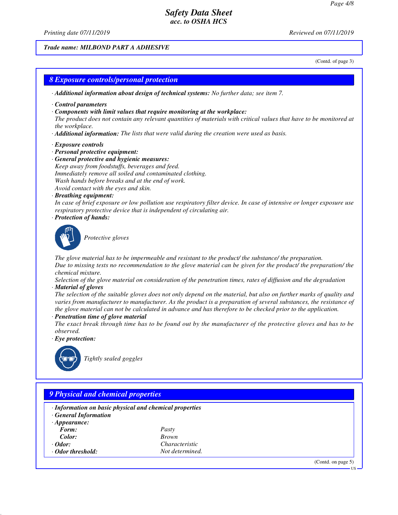*Printing date 07/11/2019 Reviewed on 07/11/2019*

#### *Trade name: MILBOND PART A ADHESIVE*

(Contd. of page 3)

### *8 Exposure controls/personal protection*

*· Additional information about design of technical systems: No further data; see item 7.*

- *· Control parameters*
- *· Components with limit values that require monitoring at the workplace:*

*The product does not contain any relevant quantities of materials with critical values that have to be monitored at the workplace.*

- *· Additional information: The lists that were valid during the creation were used as basis.*
- *· Exposure controls*
- *· Personal protective equipment:*
- *· General protective and hygienic measures: Keep away from foodstuffs, beverages and feed. Immediately remove all soiled and contaminated clothing. Wash hands before breaks and at the end of work. Avoid contact with the eyes and skin.*
- *· Breathing equipment:*

*In case of brief exposure or low pollution use respiratory filter device. In case of intensive or longer exposure use respiratory protective device that is independent of circulating air.*

*· Protection of hands:*



*Protective gloves*

*The glove material has to be impermeable and resistant to the product/ the substance/ the preparation. Due to missing tests no recommendation to the glove material can be given for the product/ the preparation/ the chemical mixture.*

*Selection of the glove material on consideration of the penetration times, rates of diffusion and the degradation · Material of gloves*

*The selection of the suitable gloves does not only depend on the material, but also on further marks of quality and varies from manufacturer to manufacturer. As the product is a preparation of several substances, the resistance of the glove material can not be calculated in advance and has therefore to be checked prior to the application.*

*· Penetration time of glove material*

*The exact break through time has to be found out by the manufacturer of the protective gloves and has to be observed.*

*· Eye protection:*



*Tightly sealed goggles*

# *9 Physical and chemical properties · Information on basic physical and chemical properties · General Information · Appearance: Form: Pasty Color: Brown · Odor: Characteristic · Odor threshold: Not determined.* (Contd. on page 5) US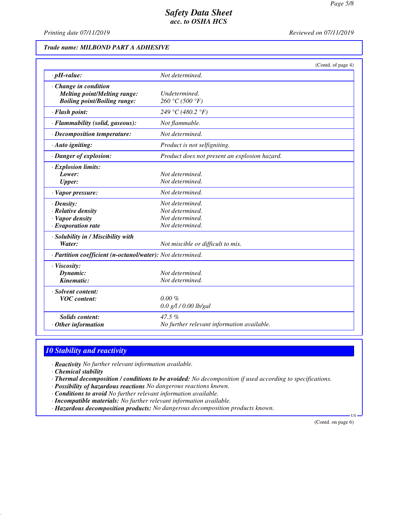*Printing date 07/11/2019 Reviewed on 07/11/2019*

## *Trade name: MILBOND PART A ADHESIVE*

|                                                                                                           | (Contd. of page 4)                                                       |  |
|-----------------------------------------------------------------------------------------------------------|--------------------------------------------------------------------------|--|
| $\cdot$ pH-value:                                                                                         | Not determined.                                                          |  |
| $\cdot$ Change in condition<br><b>Melting point/Melting range:</b><br><b>Boiling point/Boiling range:</b> | Undetermined.<br>260 °C (500 °F)                                         |  |
| · Flash point:                                                                                            | 249 °C (480.2 °F)                                                        |  |
| · Flammability (solid, gaseous):                                                                          | Not flammable.                                                           |  |
| · Decomposition temperature:                                                                              | Not determined.                                                          |  |
| · Auto igniting:                                                                                          | Product is not selfigniting.                                             |  |
| · Danger of explosion:                                                                                    | Product does not present an explosion hazard.                            |  |
| $\cdot$ Explosion limits:<br>Lower:<br><b>Upper:</b>                                                      | Not determined.<br>Not determined.                                       |  |
| $\cdot$ Vapor pressure:                                                                                   | Not determined.                                                          |  |
| $\cdot$ Density:<br>· Relative density<br>· Vapor density<br>$\cdot$ Evaporation rate                     | Not determined.<br>Not determined.<br>Not determined.<br>Not determined. |  |
| · Solubility in / Miscibility with<br>Water:                                                              | Not miscible or difficult to mix.                                        |  |
| · Partition coefficient (n-octanol/water): Not determined.                                                |                                                                          |  |
| · Viscosity:<br>Dynamic:<br>Kinematic:                                                                    | Not determined.<br>Not determined.                                       |  |
| · Solvent content:<br><b>VOC</b> content:                                                                 | $0.00 \%$<br>0.0 g/l / 0.00 lb/gal                                       |  |
| <b>Solids content:</b><br>$·$ Other information                                                           | $47.5\%$<br>No further relevant information available.                   |  |

# *10 Stability and reactivity*

*· Reactivity No further relevant information available.*

*· Chemical stability*

*· Thermal decomposition / conditions to be avoided: No decomposition if used according to specifications.*

- *· Possibility of hazardous reactions No dangerous reactions known.*
- *· Conditions to avoid No further relevant information available.*
- *· Incompatible materials: No further relevant information available.*
- *· Hazardous decomposition products: No dangerous decomposition products known.*

(Contd. on page 6)

US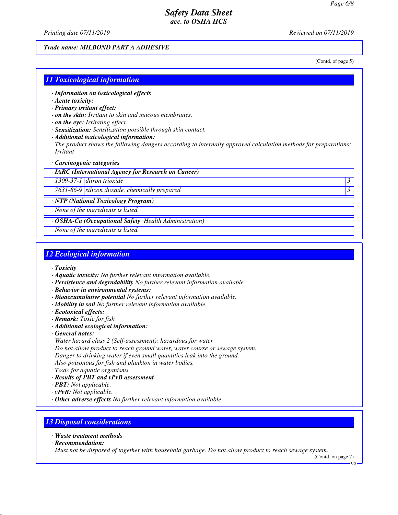*Printing date 07/11/2019 Reviewed on 07/11/2019*

## *Trade name: MILBOND PART A ADHESIVE*

(Contd. of page 5)

### *11 Toxicological information*

- *· Information on toxicological effects*
- *· Acute toxicity:*
- *· Primary irritant effect:*
- *· on the skin: Irritant to skin and mucous membranes.*
- *· on the eye: Irritating effect.*
- *· Sensitization: Sensitization possible through skin contact.*
- *· Additional toxicological information:*

*The product shows the following dangers according to internally approved calculation methods for preparations: Irritant*

*· Carcinogenic categories*

### *· IARC (International Agency for Research on Cancer)*

*1309-37-1 diiron trioxide 3* 

*7631-86-9 silicon dioxide, chemically prepared 3* 

*· NTP (National Toxicology Program)*

*None of the ingredients is listed.*

*· OSHA-Ca (Occupational Safety Health Administration)*

*None of the ingredients is listed.*

# *12 Ecological information*

- *· Toxicity*
- *· Aquatic toxicity: No further relevant information available.*
- *· Persistence and degradability No further relevant information available.*
- *· Behavior in environmental systems:*
- *· Bioaccumulative potential No further relevant information available.*
- *· Mobility in soil No further relevant information available.*
- *· Ecotoxical effects:*
- *· Remark: Toxic for fish*
- *· Additional ecological information:*
- *· General notes:*
- *Water hazard class 2 (Self-assessment): hazardous for water*
- *Do not allow product to reach ground water, water course or sewage system.*
- *Danger to drinking water if even small quantities leak into the ground.*
- *Also poisonous for fish and plankton in water bodies.*
- *Toxic for aquatic organisms*
- *· Results of PBT and vPvB assessment*
- *· PBT: Not applicable.*
- *· vPvB: Not applicable.*
- *· Other adverse effects No further relevant information available.*

## *13 Disposal considerations*

- *· Waste treatment methods*
- *· Recommendation:*

*Must not be disposed of together with household garbage. Do not allow product to reach sewage system.*

(Contd. on page 7)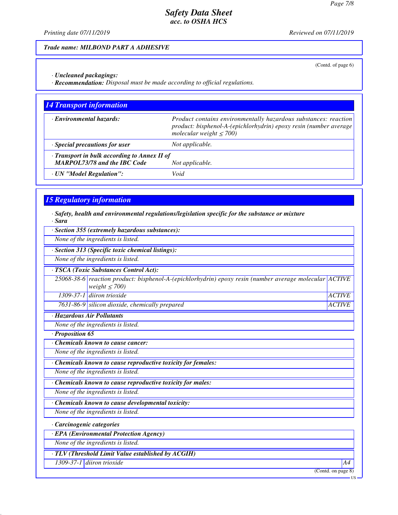*Printing date 07/11/2019 Reviewed on 07/11/2019*

### *Trade name: MILBOND PART A ADHESIVE*

(Contd. of page 6)

*· Uncleaned packagings:*

*· Recommendation: Disposal must be made according to official regulations.*

| <b>14 Transport information</b>                                                           |                                                                                                                                                                       |  |  |
|-------------------------------------------------------------------------------------------|-----------------------------------------------------------------------------------------------------------------------------------------------------------------------|--|--|
| · Environmental hazards:                                                                  | Product contains environmentally hazardous substances: reaction<br>product: bisphenol-A-(epichlorhydrin) epoxy resin (number average<br>molecular weight $\leq 700$ ) |  |  |
| $\cdot$ Special precautions for user                                                      | Not applicable.                                                                                                                                                       |  |  |
| $\cdot$ Transport in bulk according to Annex II of<br><b>MARPOL73/78 and the IBC Code</b> | Not applicable.                                                                                                                                                       |  |  |
| · UN "Model Regulation":                                                                  | Void                                                                                                                                                                  |  |  |

# *15 Regulatory information*

*· Safety, health and environmental regulations/legislation specific for the substance or mixture · Sara*

|                                         | · Section 355 (extremely hazardous substances):                                                                              |                    |  |  |  |  |
|-----------------------------------------|------------------------------------------------------------------------------------------------------------------------------|--------------------|--|--|--|--|
|                                         | None of the ingredients is listed.                                                                                           |                    |  |  |  |  |
|                                         | · Section 313 (Specific toxic chemical listings):                                                                            |                    |  |  |  |  |
|                                         | None of the ingredients is listed.                                                                                           |                    |  |  |  |  |
|                                         | · TSCA (Toxic Substances Control Act):                                                                                       |                    |  |  |  |  |
|                                         | 25068-38-6 reaction product: bisphenol-A-(epichlorhydrin) epoxy resin (number average molecular ACTIVE<br>weight $\leq$ 700) |                    |  |  |  |  |
|                                         | 1309-37-1 diiron trioxide                                                                                                    | <b>ACTIVE</b>      |  |  |  |  |
|                                         | 7631-86-9 silicon dioxide, chemically prepared                                                                               | <b>ACTIVE</b>      |  |  |  |  |
|                                         | · Hazardous Air Pollutants                                                                                                   |                    |  |  |  |  |
|                                         | None of the ingredients is listed.                                                                                           |                    |  |  |  |  |
| $\cdot$ Proposition 65                  |                                                                                                                              |                    |  |  |  |  |
|                                         | <b>Chemicals known to cause cancer:</b>                                                                                      |                    |  |  |  |  |
|                                         | None of the ingredients is listed.                                                                                           |                    |  |  |  |  |
|                                         | · Chemicals known to cause reproductive toxicity for females:                                                                |                    |  |  |  |  |
|                                         | None of the ingredients is listed.                                                                                           |                    |  |  |  |  |
|                                         | · Chemicals known to cause reproductive toxicity for males:                                                                  |                    |  |  |  |  |
|                                         | None of the ingredients is listed.                                                                                           |                    |  |  |  |  |
|                                         | Chemicals known to cause developmental toxicity:                                                                             |                    |  |  |  |  |
| None of the ingredients is listed.      |                                                                                                                              |                    |  |  |  |  |
| · Carcinogenic categories               |                                                                                                                              |                    |  |  |  |  |
| · EPA (Environmental Protection Agency) |                                                                                                                              |                    |  |  |  |  |
|                                         | None of the ingredients is listed.                                                                                           |                    |  |  |  |  |
|                                         | · TLV (Threshold Limit Value established by ACGIH)                                                                           |                    |  |  |  |  |
|                                         | 1309-37-1 diiron trioxide                                                                                                    | A4                 |  |  |  |  |
|                                         |                                                                                                                              | (Contd. on page 8) |  |  |  |  |